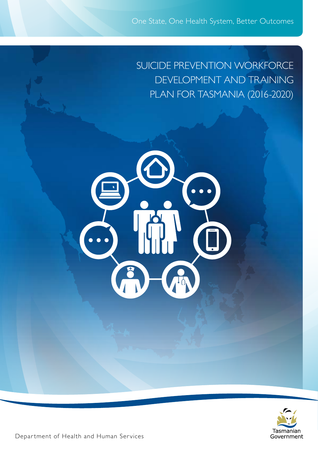SUICIDE PREVENTION WORKFORCE DEVELOPMENT AND TRAINING PLAN FOR TASMANIA (2016-2020)





Department of Health and Human Services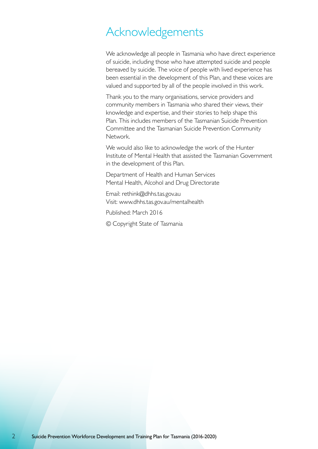# Acknowledgements

We acknowledge all people in Tasmania who have direct experience of suicide, including those who have attempted suicide and people bereaved by suicide. The voice of people with lived experience has been essential in the development of this Plan, and these voices are valued and supported by all of the people involved in this work.

Thank you to the many organisations, service providers and community members in Tasmania who shared their views, their knowledge and expertise, and their stories to help shape this Plan. This includes members of the Tasmanian Suicide Prevention Committee and the Tasmanian Suicide Prevention Community Network.

We would also like to acknowledge the work of the Hunter Institute of Mental Health that assisted the Tasmanian Government in the development of this Plan.

Department of Health and Human Services Mental Health, Alcohol and Drug Directorate

Email: rethink@dhhs.tas.gov.au Visit: www.dhhs.tas.gov.au/mentalhealth

Published: March 2016

© Copyright State of Tasmania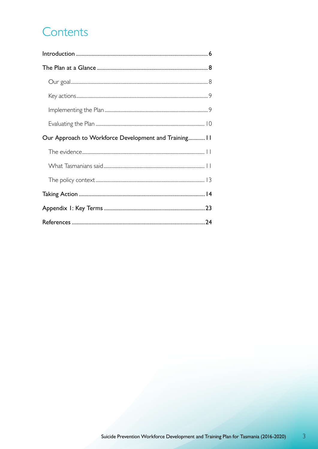# Contents

| Our Approach to Workforce Development and Training 11 |  |
|-------------------------------------------------------|--|
|                                                       |  |
|                                                       |  |
|                                                       |  |
|                                                       |  |
|                                                       |  |
|                                                       |  |

 $\overline{3}$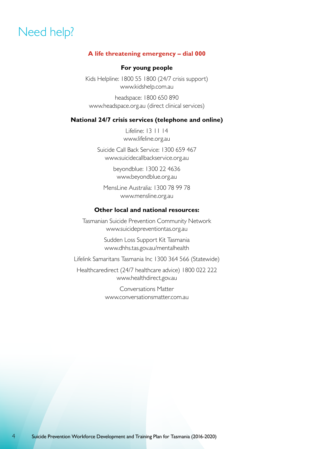# Need help?

#### **A life threatening emergency – dial 000**

#### **For young people**

Kids Helpline: 1800 55 1800 (24/7 crisis support) www.kidshelp.com.au

headspace: 1800 650 890 www.headspace.org.au (direct clinical services)

#### **National 24/7 crisis services (telephone and online)**

Lifeline: 13 11 14 www.lifeline.org.au

Suicide Call Back Service: 1300 659 467 www.suicidecallbackservice.org.au

> beyondblue: 1300 22 4636 www.beyondblue.org.au

MensLine Australia: 1300 78 99 78 www.mensline.org.au

#### **Other local and national resources:**

Tasmanian Suicide Prevention Community Network www.suicidepreventiontas.org.au

> Sudden Loss Support Kit Tasmania www.dhhs.tas.gov.au/mentalhealth

Lifelink Samaritans Tasmania Inc 1300 364 566 (Statewide)

Healthcaredirect (24/7 healthcare advice) 1800 022 222 www.healthdirect.gov.au

> Conversations Matter www.conversationsmatter.com.au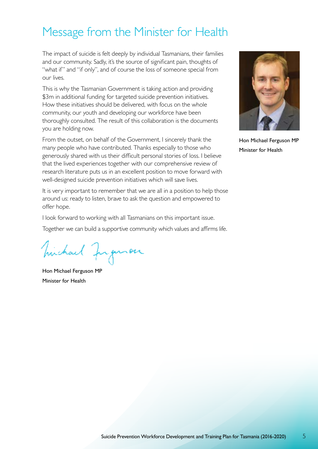# Message from the Minister for Health

The impact of suicide is felt deeply by individual Tasmanians, their families and our community. Sadly, it's the source of significant pain, thoughts of "what if" and "if only", and of course the loss of someone special from our lives.

This is why the Tasmanian Government is taking action and providing \$3m in additional funding for targeted suicide prevention initiatives. How these initiatives should be delivered, with focus on the whole community, our youth and developing our workforce have been thoroughly consulted. The result of this collaboration is the documents you are holding now.

From the outset, on behalf of the Government, I sincerely thank the many people who have contributed. Thanks especially to those who generously shared with us their difficult personal stories of loss. I believe that the lived experiences together with our comprehensive review of research literature puts us in an excellent position to move forward with well-designed suicide prevention initiatives which will save lives.

It is very important to remember that we are all in a position to help those around us: ready to listen, brave to ask the question and empowered to offer hope.

I look forward to working with all Tasmanians on this important issue.

Together we can build a supportive community which values and affirms life.

michael Juguron

Hon Michael Ferguson MP Minister for Health



Hon Michael Ferguson MP Minister for Health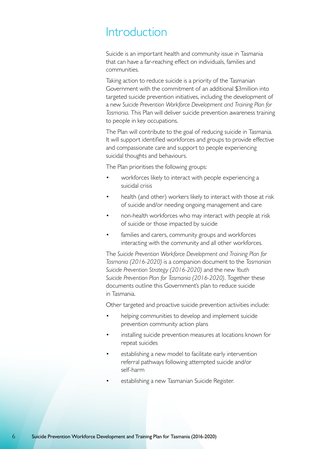# Introduction

Suicide is an important health and community issue in Tasmania that can have a far-reaching effect on individuals, families and communities.

Taking action to reduce suicide is a priority of the Tasmanian Government with the commitment of an additional \$3million into targeted suicide prevention initiatives, including the development of a new *Suicide Prevention Workforce Development and Training Plan for Tasmania*. This Plan will deliver suicide prevention awareness training to people in key occupations.

The Plan will contribute to the goal of reducing suicide in Tasmania. It will support identified workforces and groups to provide effective and compassionate care and support to people experiencing suicidal thoughts and behaviours.

The Plan prioritises the following groups:

- workforces likely to interact with people experiencing a suicidal crisis
- health (and other) workers likely to interact with those at risk of suicide and/or needing ongoing management and care
- non-health workforces who may interact with people at risk of suicide or those impacted by suicide
- families and carers, community groups and workforces interacting with the community and all other workforces.

The *Suicide Prevention Workforce Development and Training Plan for Tasmania (2016-2020)* is a companion document to the *Tasmanian Suicide Prevention Strategy (2016-2020)* and the new *Youth Suicide Prevention Plan for Tasmania (2016-2020)*. Together these documents outline this Government's plan to reduce suicide in Tasmania.

Other targeted and proactive suicide prevention activities include:

- helping communities to develop and implement suicide prevention community action plans
- installing suicide prevention measures at locations known for repeat suicides
- establishing a new model to facilitate early intervention referral pathways following attempted suicide and/or self-harm
- establishing a new Tasmanian Suicide Register.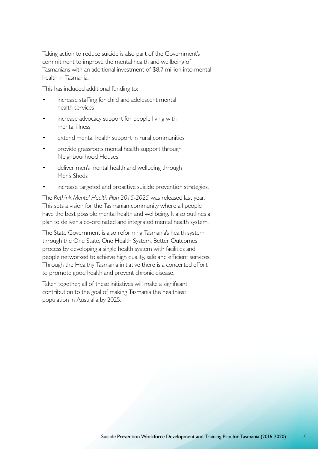Taking action to reduce suicide is also part of the Government's commitment to improve the mental health and wellbeing of Tasmanians with an additional investment of \$8.7 million into mental health in Tasmania.

This has included additional funding to:

- increase staffing for child and adolescent mental health services
- increase advocacy support for people living with mental illness
- extend mental health support in rural communities
- provide grassroots mental health support through Neighbourhood Houses
- deliver men's mental health and wellbeing through Men's Sheds
- increase targeted and proactive suicide prevention strategies.

The *Rethink Mental Health Plan 2015-2025* was released last year. This sets a vision for the Tasmanian community where all people have the best possible mental health and wellbeing. It also outlines a plan to deliver a co-ordinated and integrated mental health system.

The State Government is also reforming Tasmania's health system through the One State, One Health System, Better Outcomes process by developing a single health system with facilities and people networked to achieve high quality, safe and efficient services. Through the Healthy Tasmania initiative there is a concerted effort to promote good health and prevent chronic disease.

Taken together, all of these initiatives will make a significant contribution to the goal of making Tasmania the healthiest population in Australia by 2025.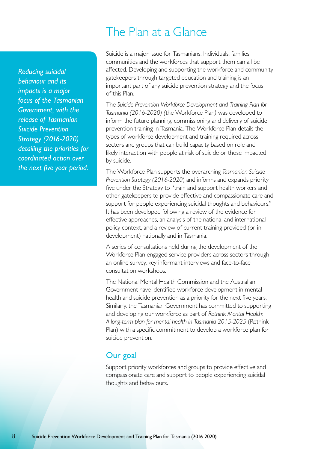# The Plan at a Glance

Suicide is a major issue for Tasmanians. Individuals, families, communities and the workforces that support them can all be affected. Developing and supporting the workforce and community gatekeepers through targeted education and training is an important part of any suicide prevention strategy and the focus of this Plan.

The *Suicide Prevention Workforce Development and Training Plan for Tasmania (2016-2020) (*the Workforce Plan*)* was developed to inform the future planning, commissioning and delivery of suicide prevention training in Tasmania. The Workforce Plan details the types of workforce development and training required across sectors and groups that can build capacity based on role and likely interaction with people at risk of suicide or those impacted by suicide.

The Workforce Plan supports the overarching *Tasmanian Suicide Prevention Strategy (2016-2020*) and informs and expands priority five under the Strategy to "train and support health workers and other gatekeepers to provide effective and compassionate care and support for people experiencing suicidal thoughts and behaviours." It has been developed following a review of the evidence for effective approaches, an analysis of the national and international policy context, and a review of current training provided (or in development) nationally and in Tasmania.

A series of consultations held during the development of the Workforce Plan engaged service providers across sectors through an online survey, key informant interviews and face-to-face consultation workshops.

The National Mental Health Commission and the Australian Government have identified workforce development in mental health and suicide prevention as a priority for the next five years. Similarly, the Tasmanian Government has committed to supporting and developing our workforce as part of *Rethink Mental Health: A long-term plan for mental health in Tasmania 2015-2025* (Rethink Plan) with a specific commitment to develop a workforce plan for suicide prevention.

## Our goal

Support priority workforces and groups to provide effective and compassionate care and support to people experiencing suicidal thoughts and behaviours.

*Reducing suicidal behaviour and its impacts is a major focus of the Tasmanian Government, with the release of Tasmanian Suicide Prevention Strategy (2016-2020) detailing the priorities for coordinated action over the next five year period.*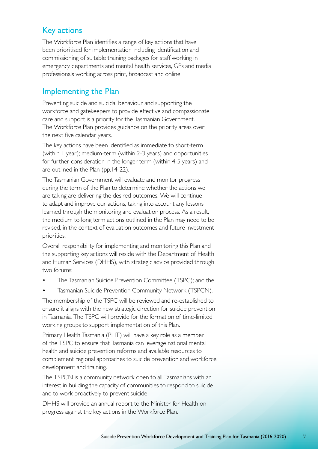### Key actions

The Workforce Plan identifies a range of key actions that have been prioritised for implementation including identification and commissioning of suitable training packages for staff working in emergency departments and mental health services, GPs and media professionals working across print, broadcast and online.

### Implementing the Plan

Preventing suicide and suicidal behaviour and supporting the workforce and gatekeepers to provide effective and compassionate care and support is a priority for the Tasmanian Government. The Workforce Plan provides guidance on the priority areas over the next five calendar years.

The key actions have been identified as immediate to short-term (within 1 year); medium-term (within 2-3 years) and opportunities for further consideration in the longer-term (within 4-5 years) and are outlined in the Plan (pp.14-22).

The Tasmanian Government will evaluate and monitor progress during the term of the Plan to determine whether the actions we are taking are delivering the desired outcomes. We will continue to adapt and improve our actions, taking into account any lessons learned through the monitoring and evaluation process. As a result, the medium to long term actions outlined in the Plan may need to be revised, in the context of evaluation outcomes and future investment priorities.

Overall responsibility for implementing and monitoring this Plan and the supporting key actions will reside with the Department of Health and Human Services (DHHS), with strategic advice provided through two forums:

- The Tasmanian Suicide Prevention Committee (TSPC); and the
- Tasmanian Suicide Prevention Community Network (TSPCN).

The membership of the TSPC will be reviewed and re-established to ensure it aligns with the new strategic direction for suicide prevention in Tasmania. The TSPC will provide for the formation of time-limited working groups to support implementation of this Plan.

Primary Health Tasmania (PHT) will have a key role as a member of the TSPC to ensure that Tasmania can leverage national mental health and suicide prevention reforms and available resources to complement regional approaches to suicide prevention and workforce development and training.

The TSPCN is a community network open to all Tasmanians with an interest in building the capacity of communities to respond to suicide and to work proactively to prevent suicide.

DHHS will provide an annual report to the Minister for Health on progress against the key actions in the Workforce Plan.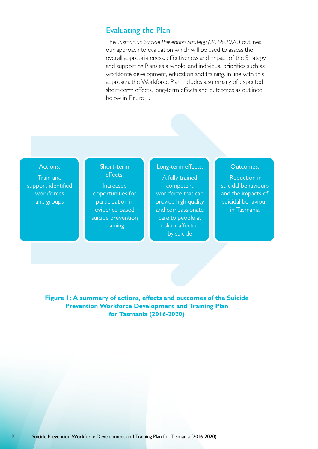### Evaluating the Plan

The *Tasmanian Suicide Prevention Strategy (2016-2020)* outlines our approach to evaluation which will be used to assess the overall appropriateness, effectiveness and impact of the Strategy and supporting Plans as a whole, and individual priorities such as workforce development, education and training. In line with this approach, the Workforce Plan includes a summary of expected short-term effects, long-term effects and outcomes as outlined below in Figure 1.

#### Actions:

Train and support identified workforces and groups

#### Short-term effects:

Increased opportunities for participation in evidence-based suicide prevention training

#### Long-term effects:

A fully trained competent workforce that can provide high quality and compassionate care to people at risk or affected by suicide

#### Outcomes:

 Reduction in suicidal behaviours and the impacts of suicidal behaviour in Tasmania

**Figure 1: A summary of actions, effects and outcomes of the Suicide Prevention Workforce Development and Training Plan for Tasmania (2016-2020)**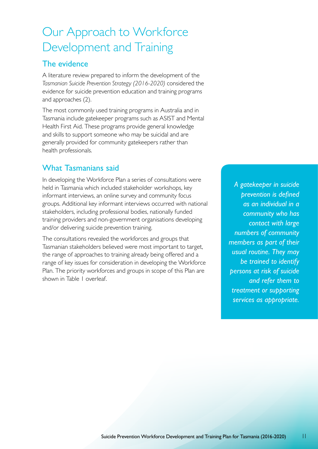# Our Approach to Workforce Development and Training

### The evidence

A literature review prepared to inform the development of the *Tasmanian Suicide Prevention Strategy (2016-2020)* considered the evidence for suicide prevention education and training programs and approaches (2).

The most commonly used training programs in Australia and in Tasmania include gatekeeper programs such as ASIST and Mental Health First Aid. These programs provide general knowledge and skills to support someone who may be suicidal and are generally provided for community gatekeepers rather than health professionals.

## What Tasmanians said

In developing the Workforce Plan a series of consultations were held in Tasmania which included stakeholder workshops, key informant interviews, an online survey and community focus groups. Additional key informant interviews occurred with national stakeholders, including professional bodies, nationally funded training providers and non-government organisations developing and/or delivering suicide prevention training.

The consultations revealed the workforces and groups that Tasmanian stakeholders believed were most important to target, the range of approaches to training already being offered and a range of key issues for consideration in developing the Workforce Plan. The priority workforces and groups in scope of this Plan are shown in Table 1 overleaf.

*A gatekeeper in suicide prevention is defined as an individual in a community who has contact with large numbers of community members as part of their usual routine. They may be trained to identify persons at risk of suicide and refer them to treatment or supporting services as appropriate.*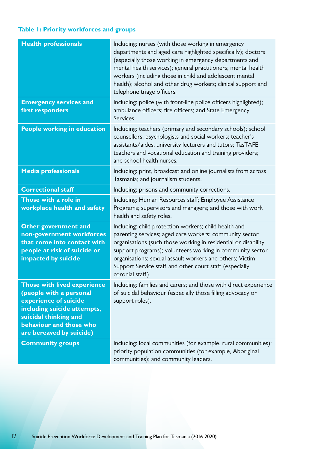## **Table 1: Priority workforces and groups**

| <b>Health professionals</b>                                                                                                                                                                           | Including: nurses (with those working in emergency<br>departments and aged care highlighted specifically); doctors<br>(especially those working in emergency departments and<br>mental health services); general practitioners; mental health<br>workers (including those in child and adolescent mental<br>health); alcohol and other drug workers; clinical support and<br>telephone triage officers. |
|-------------------------------------------------------------------------------------------------------------------------------------------------------------------------------------------------------|---------------------------------------------------------------------------------------------------------------------------------------------------------------------------------------------------------------------------------------------------------------------------------------------------------------------------------------------------------------------------------------------------------|
| <b>Emergency services and</b><br>first responders                                                                                                                                                     | Including: police (with front-line police officers highlighted);<br>ambulance officers; fire officers; and State Emergency<br>Services.                                                                                                                                                                                                                                                                 |
| <b>People working in education</b>                                                                                                                                                                    | Including: teachers (primary and secondary schools); school<br>counsellors, psychologists and social workers; teacher's<br>assistants/aides; university lecturers and tutors; TasTAFE<br>teachers and vocational education and training providers;<br>and school health nurses.                                                                                                                         |
| <b>Media professionals</b>                                                                                                                                                                            | Including: print, broadcast and online journalists from across<br>Tasmania; and journalism students.                                                                                                                                                                                                                                                                                                    |
| <b>Correctional staff</b>                                                                                                                                                                             | Including: prisons and community corrections.                                                                                                                                                                                                                                                                                                                                                           |
| Those with a role in<br>workplace health and safety                                                                                                                                                   | Including: Human Resources staff; Employee Assistance<br>Programs; supervisors and managers; and those with work<br>health and safety roles.                                                                                                                                                                                                                                                            |
| <b>Other government and</b><br>non-government workforces<br>that come into contact with<br>people at risk of suicide or<br>impacted by suicide                                                        | Including: child protection workers; child health and<br>parenting services; aged care workers; community sector<br>organisations (such those working in residential or disability<br>support programs); volunteers working in community sector<br>organisations; sexual assault workers and others; Victim<br>Support Service staff and other court staff (especially<br>coronial staff).              |
| <b>Those with lived experience</b><br>(people with a personal<br>experience of suicide<br>including suicide attempts,<br>suicidal thinking and<br>behaviour and those who<br>are bereaved by suicide) | Including: families and carers; and those with direct experience<br>of suicidal behaviour (especially those filling advocacy or<br>support roles).                                                                                                                                                                                                                                                      |
| <b>Community groups</b>                                                                                                                                                                               | Including: local communities (for example, rural communities);<br>priority population communities (for example, Aboriginal<br>communities); and community leaders.                                                                                                                                                                                                                                      |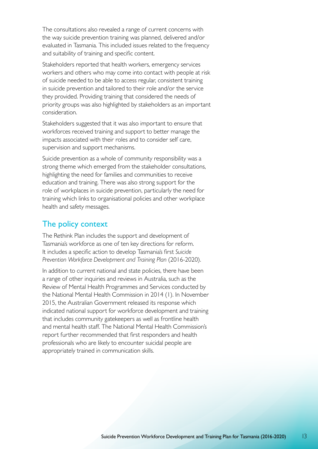The consultations also revealed a range of current concerns with the way suicide prevention training was planned, delivered and/or evaluated in Tasmania. This included issues related to the frequency and suitability of training and specific content.

Stakeholders reported that health workers, emergency services workers and others who may come into contact with people at risk of suicide needed to be able to access regular, consistent training in suicide prevention and tailored to their role and/or the service they provided. Providing training that considered the needs of priority groups was also highlighted by stakeholders as an important consideration.

Stakeholders suggested that it was also important to ensure that workforces received training and support to better manage the impacts associated with their roles and to consider self care, supervision and support mechanisms.

Suicide prevention as a whole of community responsibility was a strong theme which emerged from the stakeholder consultations, highlighting the need for families and communities to receive education and training. There was also strong support for the role of workplaces in suicide prevention, particularly the need for training which links to organisational policies and other workplace health and safety messages.

### The policy context

The Rethink Plan includes the support and development of Tasmania's workforce as one of ten key directions for reform. It includes a specific action to develop Tasmania's first *Suicide Prevention Workforce Development and Training Plan* (2016-2020).

In addition to current national and state policies, there have been a range of other inquiries and reviews in Australia, such as the Review of Mental Health Programmes and Services conducted by the National Mental Health Commission in 2014 (1). In November 2015, the Australian Government released its response which indicated national support for workforce development and training that includes community gatekeepers as well as frontline health and mental health staff. The National Mental Health Commission's report further recommended that first responders and health professionals who are likely to encounter suicidal people are appropriately trained in communication skills.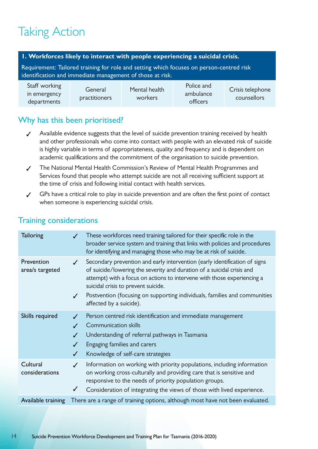# Taking Action

#### **1. Workforces likely to interact with people experiencing a suicidal crisis.**

Requirement: Tailored training for role and setting which focuses on person-centred risk identification and immediate management of those at risk.

| Staff working | General              | Mental health | Police and | Crisis telephone |
|---------------|----------------------|---------------|------------|------------------|
| in emergency  | <b>practitioners</b> |               | ambulance  | counsellors      |
| departments   |                      | workers       | officers   |                  |

## Why has this been prioritised?

- ✓ Available evidence suggests that the level of suicide prevention training received by health and other professionals who come into contact with people with an elevated risk of suicide is highly variable in terms of appropriateness, quality and frequency and is dependent on academic qualifications and the commitment of the organisation to suicide prevention.
- ✓ The National Mental Health Commission's Review of Mental Health Programmes and Services found that people who attempt suicide are not all receiving sufficient support at the time of crisis and following initial contact with health services.
- ✓ GPs have a critical role to play in suicide prevention and are often the first point of contact when someone is experiencing suicidal crisis.

| <b>Tailoring</b>              | These workforces need training tailored for their specific role in the<br>broader service system and training that links with policies and procedures<br>for identifying and managing those who may be at risk of suicide.                                                                                                                                                                                                 |  |
|-------------------------------|----------------------------------------------------------------------------------------------------------------------------------------------------------------------------------------------------------------------------------------------------------------------------------------------------------------------------------------------------------------------------------------------------------------------------|--|
| Prevention<br>area/s targeted | Secondary prevention and early intervention (early identification of signs<br>$\overline{\mathcal{L}}$<br>of suicide/lowering the severity and duration of a suicidal crisis and<br>attempt) with a focus on actions to intervene with those experiencing a<br>suicidal crisis to prevent suicide.<br>Postvention (focusing on supporting individuals, families and communities<br>$\checkmark$<br>affected by a suicide). |  |
| Skills required               | Person centred risk identification and immediate management<br>Communication skills<br>Understanding of referral pathways in Tasmania<br>Engaging families and carers<br>Knowledge of self-care strategies                                                                                                                                                                                                                 |  |
| Cultural<br>considerations    | Information on working with priority populations, including information<br>$\overline{\mathscr{S}}$<br>on working cross-culturally and providing care that is sensitive and<br>responsive to the needs of priority population groups.<br>Consideration of integrating the views of those with lived experience.                                                                                                            |  |
| Available training            | There are a range of training options, although most have not been evaluated.                                                                                                                                                                                                                                                                                                                                              |  |

### Training considerations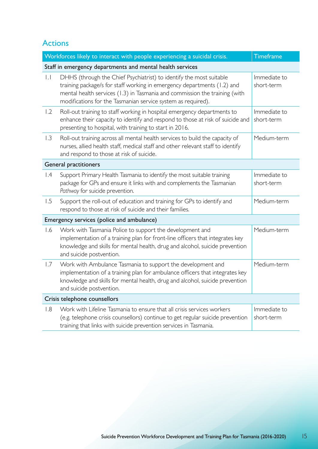## Actions

|                              | Workforces likely to interact with people experiencing a suicidal crisis.                                                                                                                                                                                                                    | Timeframe                  |
|------------------------------|----------------------------------------------------------------------------------------------------------------------------------------------------------------------------------------------------------------------------------------------------------------------------------------------|----------------------------|
|                              | Staff in emergency departments and mental health services                                                                                                                                                                                                                                    |                            |
| $  \cdot  $                  | DHHS (through the Chief Psychiatrist) to identify the most suitable<br>training package/s for staff working in emergency departments (1.2) and<br>mental health services (1.3) in Tasmania and commission the training (with<br>modifications for the Tasmanian service system as required). | Immediate to<br>short-term |
| 1.2                          | Roll-out training to staff working in hospital emergency departments to<br>enhance their capacity to identify and respond to those at risk of suicide and<br>presenting to hospital, with training to start in 2016.                                                                         | Immediate to<br>short-term |
| 1.3                          | Roll-out training across all mental health services to build the capacity of<br>nurses, allied health staff, medical staff and other relevant staff to identify<br>and respond to those at risk of suicide.                                                                                  | Medium-term                |
|                              | <b>General practitioners</b>                                                                                                                                                                                                                                                                 |                            |
| $\mathsf{I}$ .4              | Support Primary Health Tasmania to identify the most suitable training<br>package for GPs and ensure it links with and complements the Tasmanian<br>Pathway for suicide prevention.                                                                                                          | Immediate to<br>short-term |
| 1.5                          | Support the roll-out of education and training for GPs to identify and<br>respond to those at risk of suicide and their families.                                                                                                                                                            | Medium-term                |
|                              | Emergency services (police and ambulance)                                                                                                                                                                                                                                                    |                            |
| 1.6                          | Work with Tasmania Police to support the development and<br>implementation of a training plan for front-line officers that integrates key<br>knowledge and skills for mental health, drug and alcohol, suicide prevention<br>and suicide postvention.                                        | Medium-term                |
| 1.7                          | Work with Ambulance Tasmania to support the development and<br>implementation of a training plan for ambulance officers that integrates key<br>knowledge and skills for mental health, drug and alcohol, suicide prevention<br>and suicide postvention.                                      | Medium-term                |
| Crisis telephone counsellors |                                                                                                                                                                                                                                                                                              |                            |
| 1.8                          | Work with Lifeline Tasmania to ensure that all crisis services workers<br>(e.g. telephone crisis counsellors) continue to get regular suicide prevention<br>training that links with suicide prevention services in Tasmania.                                                                | Immediate to<br>short-term |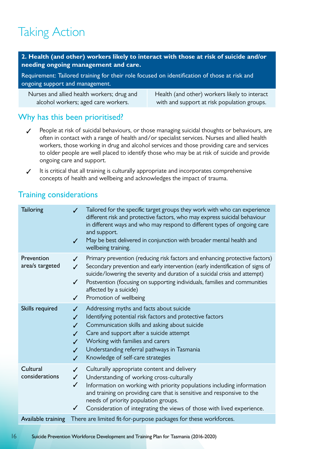# Taking Action

**2. Health (and other) workers likely to interact with those at risk of suicide and/or needing ongoing management and care.** 

Requirement: Tailored training for their role focused on identification of those at risk and ongoing support and management.

| Nurses and allied health workers; drug and | Health (and other) workers likely to interact |
|--------------------------------------------|-----------------------------------------------|
| alcohol workers; aged care workers.        | with and support at risk population groups.   |

## Why has this been prioritised?

- ✓ People at risk of suicidal behaviours, or those managing suicidal thoughts or behaviours, are often in contact with a range of health and/or specialist services. Nurses and allied health workers, those working in drug and alcohol services and those providing care and services to older people are well placed to identify those who may be at risk of suicide and provide ongoing care and support.
- ✓ It is critical that all training is culturally appropriate and incorporates comprehensive concepts of health and wellbeing and acknowledges the impact of trauma.

### Training considerations

| <b>Tailoring</b>              | Tailored for the specific target groups they work with who can experience<br>$\overline{\mathscr{N}}$<br>different risk and protective factors, who may express suicidal behaviour<br>in different ways and who may respond to different types of ongoing care<br>and support.<br>May be best delivered in conjunction with broader mental health and<br>$\checkmark$<br>wellbeing training.                                               |
|-------------------------------|--------------------------------------------------------------------------------------------------------------------------------------------------------------------------------------------------------------------------------------------------------------------------------------------------------------------------------------------------------------------------------------------------------------------------------------------|
| Prevention<br>area/s targeted | Primary prevention (reducing risk factors and enhancing protective factors)<br>Secondary prevention and early intervention (early indentification of signs of<br>$\overline{\mathscr{S}}$<br>suicide/lowering the severity and duration of a suicidal crisis and attempt)<br>Postvention (focusing on supporting individuals, families and communities<br>✓<br>affected by a suicide)<br>Promotion of wellbeing<br>✓                       |
| Skills required               | Addressing myths and facts about suicide<br>J<br>Identifying potential risk factors and protective factors<br>Communication skills and asking about suicide<br>J<br>Care and support after a suicide attempt<br>✓<br>Working with families and carers<br>ℐ<br>Understanding referral pathways in Tasmania<br>J<br>Knowledge of self-care strategies<br>$\overline{\mathscr{I}}$                                                            |
| Cultural<br>considerations    | Culturally appropriate content and delivery<br>$\overline{\mathcal{L}}$<br>Understanding of working cross-culturally<br>$\checkmark$<br>$\checkmark$<br>Information on working with priority populations including information<br>and training on providing care that is sensitive and responsive to the<br>needs of priority population groups.<br>$\checkmark$<br>Consideration of integrating the views of those with lived experience. |
| Available training            | There are limited fit-for-purpose packages for these workforces.                                                                                                                                                                                                                                                                                                                                                                           |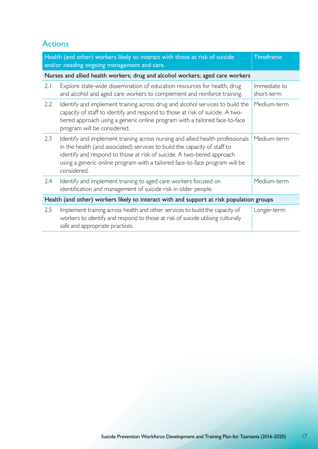### Actions

|                                                                                          | Health (and other) workers likely to interact with those at risk of suicide<br>and/or needing ongoing management and care.                                                                                                                                                                                                           | Timeframe                  |
|------------------------------------------------------------------------------------------|--------------------------------------------------------------------------------------------------------------------------------------------------------------------------------------------------------------------------------------------------------------------------------------------------------------------------------------|----------------------------|
|                                                                                          | Nurses and allied health workers; drug and alcohol workers; aged care workers                                                                                                                                                                                                                                                        |                            |
| 2.1                                                                                      | Explore state-wide dissemination of education resources for health, drug<br>and alcohol and aged care workers to complement and reinforce training.                                                                                                                                                                                  | Immediate to<br>short-term |
| $2.2\phantom{0}$                                                                         | Identify and implement training across drug and alcohol services to build the<br>capacity of staff to identify and respond to those at risk of suicide. A two-<br>tiered approach using a generic online program with a tailored face-to-face<br>program will be considered.                                                         | Medium-term                |
| 2.3                                                                                      | Identify and implement training across nursing and allied health professionals<br>in the health (and associated) services to build the capacity of staff to<br>identify and respond to those at risk of suicide. A two-tiered approach<br>using a generic online program with a tailored face-to-face program will be<br>considered. | Medium-term                |
| $2.4\phantom{0}$                                                                         | Identify and implement training to aged care workers focused on<br>identification and management of suicide risk in older people.                                                                                                                                                                                                    | Medium-term                |
| Health (and other) workers likely to interact with and support at risk population groups |                                                                                                                                                                                                                                                                                                                                      |                            |
| 2.5                                                                                      | Implement training across health and other services to build the capacity of<br>workers to identify and respond to those at risk of suicide utilising culturally<br>safe and appropriate practices.                                                                                                                                  | Longer-term                |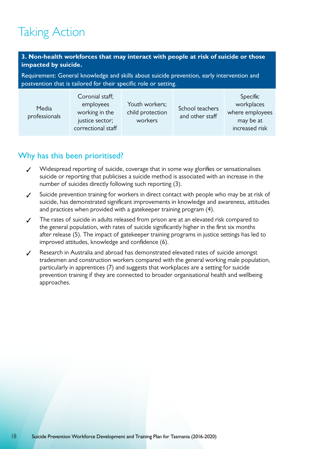# Taking Action

**3. Non-health workforces that may interact with people at risk of suicide or those impacted by suicide.**

Requirement: General knowledge and skills about suicide prevention, early intervention and postvention that is tailored for their specific role or setting.

| Media<br>professionals | Coronial staff;<br>employees<br>working in the<br>justice sector;<br>correctional staff | Youth workers;<br>child protection<br>workers | School teachers<br>and other staff | Specific<br>workplaces<br>where employees<br>may be at<br>increased risk |
|------------------------|-----------------------------------------------------------------------------------------|-----------------------------------------------|------------------------------------|--------------------------------------------------------------------------|
|------------------------|-----------------------------------------------------------------------------------------|-----------------------------------------------|------------------------------------|--------------------------------------------------------------------------|

## Why has this been prioritised?

- ✓ Widespread reporting of suicide, coverage that in some way glorifies or sensationalises suicide or reporting that publicises a suicide method is associated with an increase in the number of suicides directly following such reporting (3).
- ✓ Suicide prevention training for workers in direct contact with people who may be at risk of suicide, has demonstrated significant improvements in knowledge and awareness, attitudes and practices when provided with a gatekeeper training program (4).
- ✓ The rates of suicide in adults released from prison are at an elevated risk compared to the general population, with rates of suicide significantly higher in the first six months after release (5). The impact of gatekeeper training programs in justice settings has led to improved attitudes, knowledge and confidence (6).
- ✓ Research in Australia and abroad has demonstrated elevated rates of suicide amongst tradesmen and construction workers compared with the general working male population, particularly in apprentices (7) and suggests that workplaces are a setting for suicide prevention training if they are connected to broader organisational health and wellbeing approaches.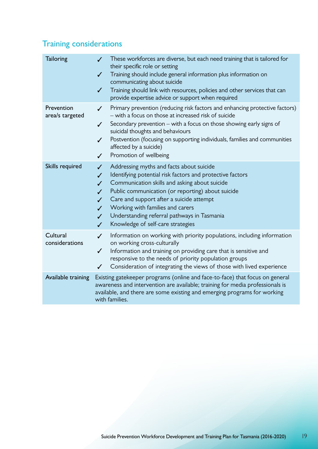# Training considerations

| <b>Tailoring</b>              | These workforces are diverse, but each need training that is tailored for<br>$\overline{\mathscr{N}}$<br>their specific role or setting<br>Training should include general information plus information on<br>$\checkmark$<br>communicating about suicide<br>Training should link with resources, policies and other services that can<br>$\checkmark$<br>provide expertise advice or support when required                                                                                                                                                       |
|-------------------------------|-------------------------------------------------------------------------------------------------------------------------------------------------------------------------------------------------------------------------------------------------------------------------------------------------------------------------------------------------------------------------------------------------------------------------------------------------------------------------------------------------------------------------------------------------------------------|
| Prevention<br>area/s targeted | Primary prevention (reducing risk factors and enhancing protective factors)<br>$\checkmark$<br>- with a focus on those at increased risk of suicide<br>Secondary prevention - with a focus on those showing early signs of<br>$\checkmark$<br>suicidal thoughts and behaviours<br>Postvention (focusing on supporting individuals, families and communities<br>✓<br>affected by a suicide)<br>Promotion of wellbeing<br>$\checkmark$                                                                                                                              |
| Skills required               | Addressing myths and facts about suicide<br>$\overline{\mathcal{L}}$<br>Identifying potential risk factors and protective factors<br>$\overline{\mathscr{S}}$<br>Communication skills and asking about suicide<br>$\overline{\phantom{a}}$<br>Public communication (or reporting) about suicide<br>$\overline{\mathscr{S}}$<br>Care and support after a suicide attempt<br>$\overline{\mathscr{S}}$<br>Working with families and carers<br>✓<br>Understanding referral pathways in Tasmania<br>$\overline{\mathscr{N}}$<br>Knowledge of self-care strategies<br>ℐ |
| Cultural<br>considerations    | Information on working with priority populations, including information<br>$\checkmark$<br>on working cross-culturally<br>Information and training on providing care that is sensitive and<br>✓<br>responsive to the needs of priority population groups<br>Consideration of integrating the views of those with lived experience<br>✓                                                                                                                                                                                                                            |
| Available training            | Existing gatekeeper programs (online and face-to-face) that focus on general<br>awareness and intervention are available; training for media professionals is<br>available, and there are some existing and emerging programs for working<br>with families.                                                                                                                                                                                                                                                                                                       |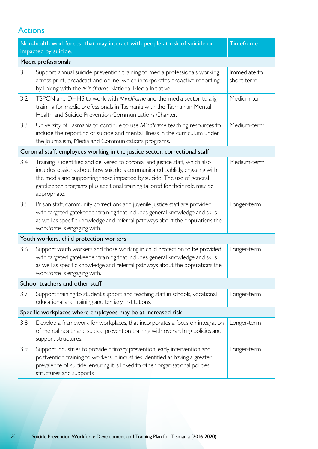## Actions

| Non-health workforces that may interact with people at risk of suicide or<br>impacted by suicide. |                                                                                                                                                                                                                                                                                                                                        | <b>Timeframe</b>           |
|---------------------------------------------------------------------------------------------------|----------------------------------------------------------------------------------------------------------------------------------------------------------------------------------------------------------------------------------------------------------------------------------------------------------------------------------------|----------------------------|
|                                                                                                   | Media professionals                                                                                                                                                                                                                                                                                                                    |                            |
| 3.1                                                                                               | Support annual suicide prevention training to media professionals working<br>across print, broadcast and online, which incorporates proactive reporting,<br>by linking with the Mindframe National Media Initiative.                                                                                                                   | Immediate to<br>short-term |
| 3.2                                                                                               | TSPCN and DHHS to work with Mindframe and the media sector to align<br>training for media professionals in Tasmania with the Tasmanian Mental<br>Health and Suicide Prevention Communications Charter.                                                                                                                                 | Medium-term                |
| 3.3                                                                                               | University of Tasmania to continue to use Mindframe teaching resources to<br>include the reporting of suicide and mental illness in the curriculum under<br>the Journalism, Media and Communications programs.                                                                                                                         | Medium-term                |
|                                                                                                   | Coronial staff, employees working in the justice sector, correctional staff                                                                                                                                                                                                                                                            |                            |
| 3.4                                                                                               | Training is identified and delivered to coronial and justice staff, which also<br>includes sessions about how suicide is communicated publicly, engaging with<br>the media and supporting those impacted by suicide. The use of general<br>gatekeeper programs plus additional training tailored for their role may be<br>appropriate. | Medium-term                |
| 3.5                                                                                               | Prison staff, community corrections and juvenile justice staff are provided<br>with targeted gatekeeper training that includes general knowledge and skills<br>as well as specific knowledge and referral pathways about the populations the<br>workforce is engaging with.                                                            | Longer-term                |
|                                                                                                   | Youth workers, child protection workers                                                                                                                                                                                                                                                                                                |                            |
| 3.6                                                                                               | Support youth workers and those working in child protection to be provided<br>with targeted gatekeeper training that includes general knowledge and skills<br>as well as specific knowledge and referral pathways about the populations the<br>workforce is engaging with.                                                             | Longer-term                |
|                                                                                                   | School teachers and other staff                                                                                                                                                                                                                                                                                                        |                            |
| 3.7                                                                                               | Support training to student support and teaching staff in schools, vocational<br>educational and training and tertiary institutions.                                                                                                                                                                                                   | Longer-term                |
|                                                                                                   | Specific workplaces where employees may be at increased risk                                                                                                                                                                                                                                                                           |                            |
| 3.8                                                                                               | Develop a framework for workplaces, that incorporates a focus on integration<br>of mental health and suicide prevention training with overarching policies and<br>support structures.                                                                                                                                                  | Longer-term                |
| 3.9                                                                                               | Support industries to provide primary prevention, early intervention and<br>postvention training to workers in industries identified as having a greater<br>prevalence of suicide, ensuring it is linked to other organisational policies<br>structures and supports.                                                                  | Longer-term                |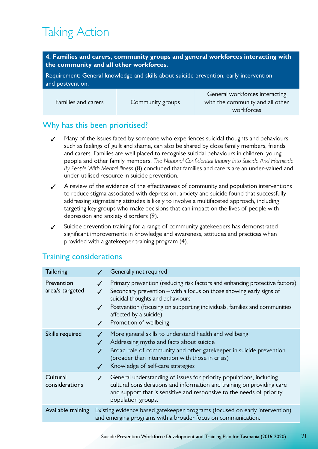# Taking Action

**4. Families and carers, community groups and general workforces interacting with the community and all other workforces.**

Requirement: General knowledge and skills about suicide prevention, early intervention and postvention.

Families and carers **Community groups** 

General workforces interacting with the community and all other workforces

## Why has this been prioritised?

- Many of the issues faced by someone who experiences suicidal thoughts and behaviours, such as feelings of guilt and shame, can also be shared by close family members, friends and carers. Families are well placed to recognise suicidal behaviours in children, young people and other family members. *The National Confidential Inquiry Into Suicide And Homicide By People With Mental Illness* (8) concluded that families and carers are an under-valued and under-utilised resource in suicide prevention.
- ✓ A review of the evidence of the effectiveness of community and population interventions to reduce stigma associated with depression, anxiety and suicide found that successfully addressing stigmatising attitudes is likely to involve a multifaceted approach, including targeting key groups who make decisions that can impact on the lives of people with depression and anxiety disorders (9).
- ✓ Suicide prevention training for a range of community gatekeepers has demonstrated significant improvements in knowledge and awareness, attitudes and practices when provided with a gatekeeper training program (4).

## Training considerations

| <b>Tailoring</b>              | Generally not required                                                                                                                                                                                                                                                                                                  |
|-------------------------------|-------------------------------------------------------------------------------------------------------------------------------------------------------------------------------------------------------------------------------------------------------------------------------------------------------------------------|
| Prevention<br>area/s targeted | Primary prevention (reducing risk factors and enhancing protective factors)<br>Secondary prevention – with a focus on those showing early signs of<br>suicidal thoughts and behaviours<br>Postvention (focusing on supporting individuals, families and communities<br>affected by a suicide)<br>Promotion of wellbeing |
| Skills required               | More general skills to understand health and wellbeing<br>Addressing myths and facts about suicide<br>Broad role of community and other gatekeeper in suicide prevention<br>(broader than intervention with those in crisis)<br>Knowledge of self-care strategies                                                       |
| Cultural<br>considerations    | General understanding of issues for priority populations, including<br>cultural considerations and information and training on providing care<br>and support that is sensitive and responsive to the needs of priority<br>population groups.                                                                            |
| Available training            | Existing evidence based gatekeeper programs (focused on early intervention)<br>and emerging programs with a broader focus on communication.                                                                                                                                                                             |
|                               |                                                                                                                                                                                                                                                                                                                         |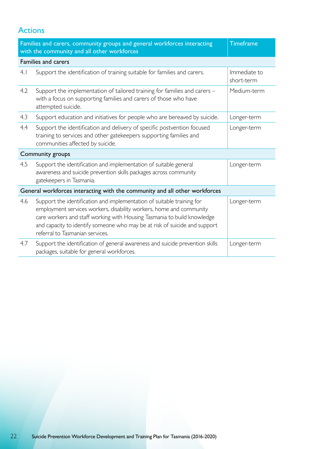## Actions

| Families and carers, community groups and general workforces interacting<br>with the community and all other workforces | Timeframe                                                                                                                                                                                                                                                                                                                                 |                            |  |  |
|-------------------------------------------------------------------------------------------------------------------------|-------------------------------------------------------------------------------------------------------------------------------------------------------------------------------------------------------------------------------------------------------------------------------------------------------------------------------------------|----------------------------|--|--|
| <b>Families and carers</b>                                                                                              |                                                                                                                                                                                                                                                                                                                                           |                            |  |  |
| 4.1                                                                                                                     | Support the identification of training suitable for families and carers.                                                                                                                                                                                                                                                                  | Immediate to<br>short-term |  |  |
| 4.2                                                                                                                     | Support the implementation of tailored training for families and carers -<br>with a focus on supporting families and carers of those who have<br>attempted suicide.                                                                                                                                                                       | Medium-term                |  |  |
| 4.3                                                                                                                     | Support education and initiatives for people who are bereaved by suicide.                                                                                                                                                                                                                                                                 | Longer-term                |  |  |
| 4.4                                                                                                                     | Support the identification and delivery of specific postvention focused<br>training to services and other gatekeepers supporting families and<br>communities affected by suicide.                                                                                                                                                         | Longer-term                |  |  |
| Community groups                                                                                                        |                                                                                                                                                                                                                                                                                                                                           |                            |  |  |
| 4.5                                                                                                                     | Support the identification and implementation of suitable general<br>awareness and suicide prevention skills packages across community<br>gatekeepers in Tasmania.                                                                                                                                                                        | Longer-term                |  |  |
| General workforces interacting with the community and all other workforces                                              |                                                                                                                                                                                                                                                                                                                                           |                            |  |  |
| 4.6                                                                                                                     | Support the identification and implementation of suitable training for<br>employment services workers, disability workers, home and community<br>care workers and staff working with Housing Tasmania to build knowledge<br>and capacity to identify someone who may be at risk of suicide and support<br>referral to Tasmanian services. | Longer-term                |  |  |
| 4.7                                                                                                                     | Support the identification of general awareness and suicide prevention skills<br>packages, suitable for general workforces.                                                                                                                                                                                                               | Longer-term                |  |  |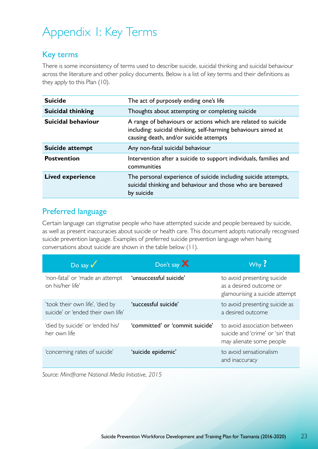# Appendix 1: Key Terms

### Key terms

There is some inconsistency of terms used to describe suicide, suicidal thinking and suicidal behaviour across the literature and other policy documents. Below is a list of key terms and their definitions as they apply to this Plan (10).

| <b>Suicide</b>           | The act of purposely ending one's life                                                                                                                                    |
|--------------------------|---------------------------------------------------------------------------------------------------------------------------------------------------------------------------|
| <b>Suicidal thinking</b> | Thoughts about attempting or completing suicide                                                                                                                           |
| Suicidal behaviour       | A range of behaviours or actions which are related to suicide<br>including: suicidal thinking, self-harming behaviours aimed at<br>causing death, and/or suicide attempts |
| Suicide attempt          | Any non-fatal suicidal behaviour                                                                                                                                          |
| <b>Postvention</b>       | Intervention after a suicide to support individuals, families and<br>communities                                                                                          |
| <b>Lived experience</b>  | The personal experience of suicide including suicide attempts,<br>suicidal thinking and behaviour and those who are bereaved<br>by suicide                                |

### Preferred language

Certain language can stigmatise people who have attempted suicide and people bereaved by suicide, as well as present inaccuracies about suicide or health care. This document adopts nationally recognised suicide prevention language. Examples of preferred suicide prevention language when having conversations about suicide are shown in the table below (11).

| Do say $\sqrt{ }$                                                     | Don't say X                     | Why?                                                                                          |
|-----------------------------------------------------------------------|---------------------------------|-----------------------------------------------------------------------------------------------|
| 'non-fatal' or 'made an attempt<br>on his/her life'                   | 'unsuccessful suicide'          | to avoid presenting suicide<br>as a desired outcome or<br>glamourising a suicide attempt      |
| 'took their own life', 'died by<br>suicide' or 'ended their own life' | 'successful suicide'            | to avoid presenting suicide as<br>a desired outcome                                           |
| 'died by suicide' or 'ended his/<br>her own life                      | 'committed' or 'commit suicide' | to avoid association between<br>suicide and 'crime' or 'sin' that<br>may alienate some people |
| 'concerning rates of suicide'                                         | 'suicide epidemic'              | to avoid sensationalism<br>and inaccuracy                                                     |

*Source: Mindframe National Media Initiative, 2015*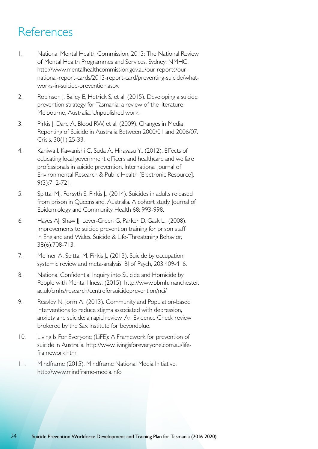# **References**

- 1. National Mental Health Commission, 2013: The National Review of Mental Health Programmes and Services. Sydney: NMHC. http://www.mentalhealthcommission.gov.au/our-reports/ournational-report-cards/2013-report-card/preventing-suicide/whatworks-in-suicide-prevention.aspx
- 2. Robinson J, Bailey E, Hetrick S, et al. (2015). Developing a suicide prevention strategy for Tasmania: a review of the literature. Melbourne, Australia. Unpublished work.
- 3. Pirkis J, Dare A, Blood RW, et al. (2009). Changes in Media Reporting of Suicide in Australia Between 2000/01 and 2006/07. Crisis, 30(1):25-33.
- 4. Kaniwa I, Kawanishi C, Suda A, Hirayasu Y., (2012). Effects of educating local government officers and healthcare and welfare professionals in suicide prevention. International Journal of Environmental Research & Public Health [Electronic Resource], 9(3):712-721.
- 5. Spittal MJ, Forsyth S, Pirkis J., (2014). Suicides in adults released from prison in Queensland, Australia. A cohort study. Journal of Epidemiology and Community Health 68: 993-998.
- 6. Hayes AJ, Shaw JJ, Lever-Green G, Parker D, Gask L., (2008). Improvements to suicide prevention training for prison staff in England and Wales. Suicide & Life-Threatening Behavior, 38(6):708-713.
- 7. Meilner A, Spittal M, Pirkis J., (2013). Suicide by occupation: systemic review and meta-analysis. BJ of Psych, 203:409-416.
- 8. National Confidential Inquiry into Suicide and Homicide by People with Mental Illness. (2015). http://www.bbmh.manchester. ac.uk/cmhs/research/centreforsuicideprevention/nci/
- 9. Reavley N, Jorm A. (2013). Community and Population-based interventions to reduce stigma associated with depression, anxiety and suicide: a rapid review. An Evidence Check review brokered by the Sax Institute for beyondblue.
- 10. Living Is For Everyone (LiFE): A Framework for prevention of suicide in Australia. [http://www.livingisforeveryone.com.au/life](http://www.livingisforeveryone.com.au/life-framework.html)[framework.html](http://www.livingisforeveryone.com.au/life-framework.html)
- 11. Mindframe (2015). Mindframe National Media Initiative. http://www.mindframe-media.info.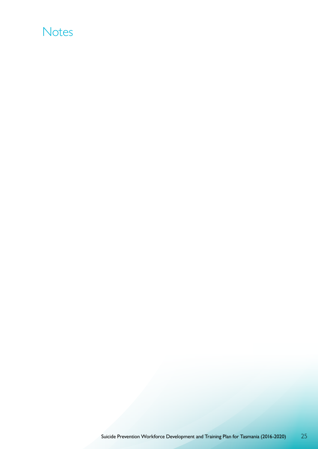# **Notes**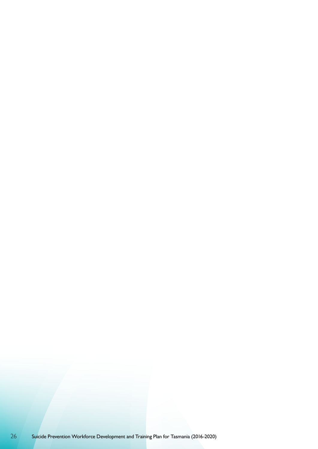26 Suicide Prevention Workforce Development and Training Plan for Tasmania (2016-2020)